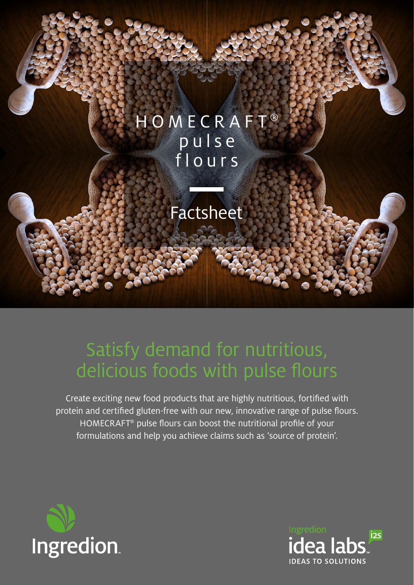# **HOMECRAFT®** pulse flours

## Factsheet

# Satisfy demand for nutritious, delicious foods with pulse flours

Create exciting new food products that are highly nutritious, fortified with protein and certified gluten-free with our new, innovative range of pulse flours. HOMECRAFT® pulse flours can boost the nutritional profile of your formulations and help you achieve claims such as 'source of protein'.